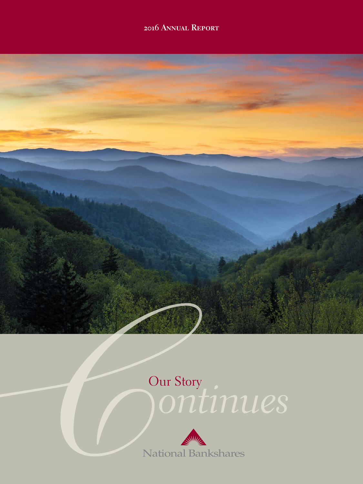## **2016 Annual Report**



# *ontinues* Our Story

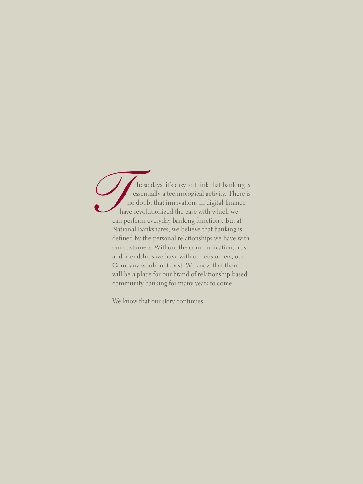hese days, it's easy to think that banking is essentially a technological activity. There is no doubt that innovations in digital finance have revolutionized the ease with which we can perform everyday banking functions. But at National Bankshares, we believe that banking is defined by the personal relationships we have with our customers. Without the communication, trust and friendships we have with our customers, our Company would not exist. We know that there will be a place for our brand of relationship-based community banking for many years to come.

We know that our story continues.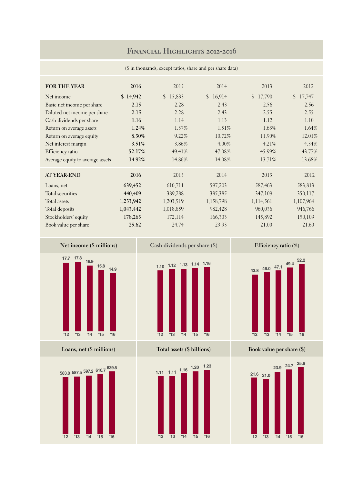### **Financial Highlights 2012-2016**

| $(\$\)$ in thousands, except ratios, share and per share data) |  |  |
|----------------------------------------------------------------|--|--|
|                                                                |  |  |

| <b>FOR THE YEAR</b>              | 2016      | 2015      | 2014                    | 2013      | 2012      |
|----------------------------------|-----------|-----------|-------------------------|-----------|-----------|
|                                  |           |           |                         |           |           |
| Net income                       | \$14,942  | \$15,833  | 16,914<br>$\mathcal{S}$ | \$17,790  | \$17,747  |
| Basic net income per share       | 2.15      | 2.28      | 2.43                    | 2.56      | 2.56      |
| Diluted net income per share     | 2.15      | 2.28      | 2.43                    | 2.55      | 2.55      |
| Cash dividends per share         | 1.16      | 1.14      | 1.13                    | 1.12      | 1.10      |
| Return on average assets         | 1.24%     | 1.37%     | 1.51%                   | $1.63\%$  | 1.64%     |
| Return on average equity         | 8.30%     | 9.22%     | 10.72%                  | 11.90%    | 12.01%    |
| Net interest margin              | 3.51%     | 3.86%     | $4.00\%$                | 4.21%     | 4.34%     |
| Efficiency ratio                 | 52.17%    | 49.41%    | 47.08%                  | 45.99%    | 43.77%    |
| Average equity to average assets | 14.92%    | 14.86%    | 14.08%                  | 13.71%    | 13.68%    |
| <b>AT YEAR-END</b>               | 2016      | 2015      | 2014                    | 2013      | 2012      |
|                                  |           |           |                         |           |           |
| Loans, net                       | 639,452   | 610,711   | 597,203                 | 587,463   | 583,813   |
| Total securities                 | 440,409   | 389,288   | 385,385                 | 347,109   | 350,117   |
| Total assets                     | 1,233,942 | 1,203,519 | 1,158,798               | 1,114,561 | 1,107,964 |
| Total deposits                   | 1,043,442 | 1,018,859 | 982,428                 | 960,036   | 946,766   |
| Stockholders' equity             | 178,263   | 172,114   | 166,303                 | 145,892   | 150,109   |
| Book value per share             | 25.62     | 24.74     | 23.93                   | 21.00     | 21.60     |



**Loans, net (\$ millions)**





**Total assets (\$ billions)**







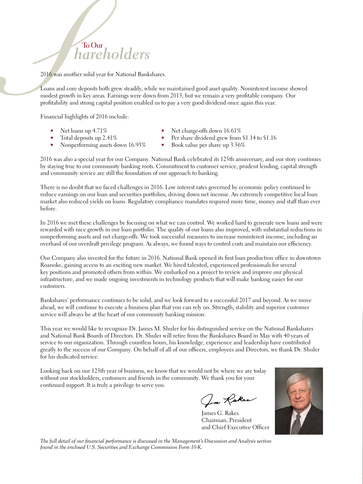# **To Our** *hareholders*

2016 was another solid year for National Bankshares.

Loans and core deposits both grew steadily, while we maintained good asset quality. Noninterest income showed modest growth in key areas. Earnings were down from 2015, but we remain a very profitable company. Our profitability and strong capital position enabled us to pay a very good dividend once again this year.

Financial highlights of 2016 include:

- 
- 
- Nonperforming assets down 16.93% Book value per share up 3.56%
- Net loans up 4.71% Net charge-offs down 16.61%<br>Total deposits up 2.41% Per share dividend grew from
	- Per share dividend grew from \$1.14 to \$1.16
	-

2016 was also a special year for our Company. National Bank celebrated its 125th anniversary, and our story continues by staying true to our community banking roots. Commitment to customer service, prudent lending, capital strength and community service are still the foundation of our approach to banking.

There is no doubt that we faced challenges in 2016. Low interest rates governed by economic policy continued to reduce earnings on our loan and securities portfolios, driving down net income. An extremely competitive local loan market also reduced yields on loans. Regulatory compliance mandates required more time, money and staff than ever before.

In 2016 we met these challenges by focusing on what we can control. We worked hard to generate new loans and were rewarded with nice growth in our loan portfolio. The quality of our loans also improved, with substantial reductions in nonperforming assets and net charge-offs. We took successful measures to increase noninterest income, including an overhaul of our overdraft privilege program. As always, we found ways to control costs and maintain our efficiency.

Our Company also invested for the future in 2016. National Bank opened its first loan production office in downtown Roanoke, gaining access to an exciting new market. We hired talented, experienced professionals for several key positions and promoted others from within. We embarked on a project to review and improve our physical infrastructure, and we made ongoing investments in technology products that will make banking easier for our customers.

Bankshares' performance continues to be solid, and we look forward to a successful 2017 and beyond. As we move ahead, we will continue to execute a business plan that you can rely on. Strength, stability and superior customer service will always be at the heart of our community banking mission.

This year we would like to recognize Dr. James M. Shuler for his distinguished service on the National Bankshares and National Bank Boards of Directors. Dr. Shuler will retire from the Bankshares Board in May with 40 years of service to our organization. Through countless hours, his knowledge, experience and leadership have contributed greatly to the success of our Company. On behalf of all of our officers, employees and Directors, we thank Dr. Shuler for his dedicated service.

Looking back on our 125th year of business, we know that we would not be where we are today without our stockholders, customers and friends in the community. We thank you for your continued support. It is truly a privilege to serve you.

Jim Raker

James G. Rakes Chairman, President and Chief Executive Officer



*The full detail of our financial performance is discussed in the Management's Discussion and Analysis section found in the enclosed U.S. Securities and Exchange Commission Form 10-K.*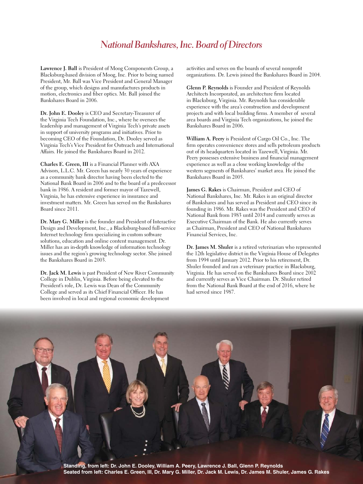## *National Bankshares, Inc. Board of Directors*

**Lawrence J. Ball** is President of Moog Components Group, a Blacksburg-based division of Moog, Inc. Prior to being named President, Mr. Ball was Vice President and General Manager of the group, which designs and manufactures products in motion, electronics and fiber optics. Mr. Ball joined the Bankshares Board in 2006.

**Dr. John E. Dooley** is CEO and Secretary-Treasurer of the Virginia Tech Foundation, Inc., where he oversees the leadership and management of Virginia Tech's private assets in support of university programs and initiatives. Prior to becoming CEO of the Foundation, Dr. Dooley served as Virginia Tech's Vice President for Outreach and International Affairs. He joined the Bankshares Board in 2012.

**Charles E. Green, III** is a Financial Planner with AXA Advisors, L.L.C. Mr. Green has nearly 30 years of experience as a community bank director having been elected to the National Bank Board in 2006 and to the board of a predecessor bank in 1986. A resident and former mayor of Tazewell, Virginia, he has extensive experience in insurance and investment matters. Mr. Green has served on the Bankshares Board since 2011.

**Dr. Mary G. Miller** is the founder and President of Interactive Design and Development, Inc., a Blacksburg-based full-service Internet technology firm specializing in custom software solutions, education and online content management. Dr. Miller has an in-depth knowledge of information technology issues and the region's growing technology sector. She joined the Bankshares Board in 2003.

**Dr. Jack M. Lewis** is past President of New River Community College in Dublin, Virginia. Before being elevated to the President's role, Dr. Lewis was Dean of the Community College and served as its Chief Financial Officer. He has been involved in local and regional economic development

activities and serves on the boards of several nonprofit organizations. Dr. Lewis joined the Bankshares Board in 2004.

**Glenn P. Reynolds** is Founder and President of Reynolds Architects Incorporated, an architecture firm located in Blacksburg, Virginia. Mr. Reynolds has considerable experience with the area's construction and development projects and with local building firms. A member of several area boards and Virginia Tech organizations, he joined the Bankshares Board in 2006.

**William A. Peery** is President of Cargo Oil Co., Inc. The firm operates convenience stores and sells petroleum products out of its headquarters located in Tazewell, Virginia. Mr. Peery possesses extensive business and financial management experience as well as a close working knowledge of the western segments of Bankshares' market area. He joined the Bankshares Board in 2005.

**James G. Rakes** is Chairman, President and CEO of National Bankshares, Inc. Mr. Rakes is an original director of Bankshares and has served as President and CEO since its founding in 1986. Mr. Rakes was the President and CEO of National Bank from 1983 until 2014 and currently serves as Executive Chairman of the Bank. He also currently serves as Chairman, President and CEO of National Bankshares Financial Services, Inc.

**Dr. James M. Shuler** is a retired veterinarian who represented the 12th legislative district in the Virginia House of Delegates from 1994 until January 2012. Prior to his retirement, Dr. Shuler founded and ran a veterinary practice in Blacksburg, Virginia. He has served on the Bankshares Board since 2002 and currently serves as Vice Chairman. Dr. Shuler retired from the National Bank Board at the end of 2016, where he had served since 1987.

**Standing, from left: Dr. John E. Dooley, William A. Peery, Lawrence J. Ball, Glenn P. Reynolds Seated from left: Charles E. Green, III, Dr. Mary G. Miller, Dr. Jack M. Lewis, Dr. James M. Shuler, James G. Rakes**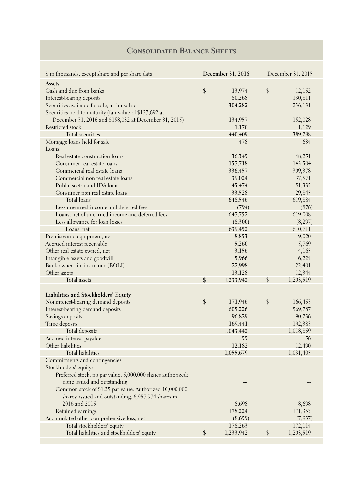## *Consolidated Balance Sheets* **Consolidated Balance Sheets**

| \$ in thousands, except share and per share data            |                            | December 31, 2016 |                        | December 31, 2015 |
|-------------------------------------------------------------|----------------------------|-------------------|------------------------|-------------------|
| Assets                                                      |                            |                   |                        |                   |
| Cash and due from banks                                     | $\boldsymbol{\hat{\zeta}}$ | 13,974            | $\oint$                | 12,152            |
| Interest-bearing deposits                                   |                            | 80,268            |                        | 130,811           |
| Securities available for sale, at fair value                |                            | 304,282           |                        | 236,131           |
| Securities held to maturity (fair value of \$137,692 at     |                            |                   |                        |                   |
| December 31, 2016 and \$158,032 at December 31, 2015)       |                            | 134,957           |                        | 152,028           |
| Restricted stock                                            |                            | 1,170             |                        | 1,129             |
| Total securities                                            |                            | 440,409           |                        | 389,288           |
| Mortgage loans held for sale                                |                            | 478               |                        | 634               |
| Loans:                                                      |                            |                   |                        |                   |
| Real estate construction loans                              |                            | 36,345            |                        | 48,251            |
| Consumer real estate loans                                  |                            | 157,718           |                        | 143,504           |
| Commercial real estate loans                                |                            | 336,457           |                        | 309,378           |
| Commercial non real estate loans                            |                            | 39,024            |                        | 37,571            |
| Public sector and IDA loans                                 |                            |                   |                        |                   |
|                                                             |                            | 45,474            |                        | 51,335            |
| Consumer non real estate loans                              |                            | 33,528            |                        | 29,845            |
| <b>Total loans</b>                                          |                            | 648,546           |                        | 619,884           |
| Less unearned income and deferred fees                      |                            | (794)             |                        | (876)             |
| Loans, net of unearned income and deferred fees             |                            | 647,752           |                        | 619,008           |
| Less allowance for loan losses                              |                            | (8,300)           |                        | (8, 297)          |
| Loans, net                                                  |                            | 639,452           |                        | 610,711           |
| Premises and equipment, net                                 |                            | 8,853             |                        | 9,020             |
| Accrued interest receivable                                 |                            | 5,260             |                        | 5,769             |
| Other real estate owned, net                                |                            | 3,156             |                        | 4,165             |
| Intangible assets and goodwill                              |                            | 5,966             |                        | 6,224             |
| Bank-owned life insurance (BOLI)                            |                            | 22,998            |                        | 22,401            |
| Other assets                                                |                            | 13,128            |                        | 12,344            |
| Total assets                                                | \$                         | 1,233,942         | $\mathcal{S}$          | 1,203,519         |
|                                                             |                            |                   |                        |                   |
| Liabilities and Stockholders' Equity                        |                            |                   |                        |                   |
| Noninterest-bearing demand deposits                         | $\boldsymbol{\$}$          | 171,946           | $\boldsymbol{\varphi}$ | 166,453           |
| Interest-bearing demand deposits                            |                            | 605,226           |                        | 569,787           |
| Savings deposits                                            |                            | 96,829            |                        | 90,236            |
| Time deposits                                               |                            | 169,441           |                        | 192,383           |
| Total deposits                                              |                            | 1,043,442         |                        | 1,018,859         |
| Accrued interest payable                                    |                            | 55                |                        | 56                |
| Other liabilities                                           |                            | 12,182            |                        | 12,490            |
| <b>Total liabilities</b>                                    |                            | 1,055,679         |                        | 1,031,405         |
| Commitments and contingencies                               |                            |                   |                        |                   |
| Stockholders' equity:                                       |                            |                   |                        |                   |
| Preferred stock, no par value, 5,000,000 shares authorized; |                            |                   |                        |                   |
| none issued and outstanding                                 |                            |                   |                        |                   |
| Common stock of \$1.25 par value. Authorized 10,000,000     |                            |                   |                        |                   |
| shares; issued and outstanding, 6,957,974 shares in         |                            |                   |                        |                   |
| 2016 and 2015                                               |                            | 8,698             |                        | 8,698             |
| Retained earnings                                           |                            | 178,224           |                        | 171,353           |
| Accumulated other comprehensive loss, net                   |                            | (8,659)           |                        | (7,937)           |
| Total stockholders' equity                                  |                            | 178,263           |                        | 172,114           |
| Total liabilities and stockholders' equity                  | \$                         | 1,233,942         | $\frac{1}{2}$          | 1,203,519         |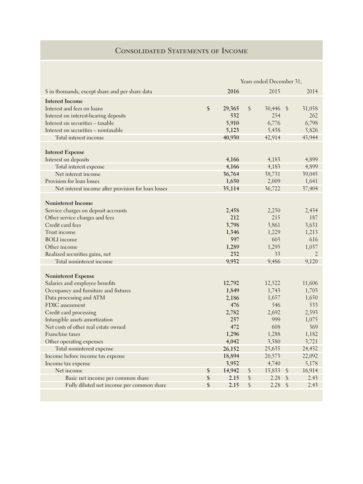## *Consolidated Balance Sheets* **Consolidated Statements of Income**

|                                                     | Years ended December 31, |        |               |        |               |        |
|-----------------------------------------------------|--------------------------|--------|---------------|--------|---------------|--------|
| \$ in thousands, except share and per share data    |                          | 2016   |               | 2015   |               | 2014   |
| <b>Interest Income</b>                              |                          |        |               |        |               |        |
| Interest and fees on loans                          | \$                       | 29,365 | $\frac{1}{2}$ | 30,446 | -\$           | 31,058 |
| Interest on interest-bearing deposits               |                          | 532    |               | 254    |               | 262    |
| Interest on securities - taxable                    |                          | 5,910  |               | 6,776  |               | 6,798  |
| Interest on securities - nontaxable                 |                          | 5,123  |               | 5,438  |               | 5,826  |
| Total interest income                               |                          | 40,930 |               | 42,914 |               | 43,944 |
| <b>Interest Expense</b>                             |                          |        |               |        |               |        |
| Interest on deposits                                |                          | 4,166  |               | 4,183  |               | 4,899  |
| Total interest expense                              |                          | 4,166  |               | 4,183  |               | 4,899  |
| Net interest income                                 |                          | 36,764 |               | 38,731 |               | 39,045 |
| Provision for loan losses                           |                          | 1,650  |               | 2,009  |               | 1,641  |
| Net interest income after provision for loan losses |                          | 35,114 |               | 36,722 |               | 37,404 |
|                                                     |                          |        |               |        |               |        |
| <b>Noninterest Income</b>                           |                          |        |               |        |               |        |
| Service charges on deposit accounts                 |                          | 2,458  |               | 2,250  |               | 2,434  |
| Other service charges and fees                      |                          | 212    |               | 215    |               | 187    |
| Credit card fees                                    |                          | 3,798  |               | 3,861  |               | 3,631  |
| Trust income                                        |                          | 1,346  |               | 1,229  |               | 1,213  |
| <b>BOLI</b> income                                  |                          | 597    |               | 603    |               | 616    |
| Other income                                        |                          | 1,289  |               | 1,295  |               | 1,037  |
| Realized securities gains, net                      |                          | 232    |               | 33     |               | 2      |
| Total noninterest income                            |                          | 9,932  |               | 9,486  |               | 9,120  |
| <b>Noninterest Expense</b>                          |                          |        |               |        |               |        |
| Salaries and employee benefits                      |                          | 12,792 |               | 12,522 |               | 11,606 |
| Occupancy and furniture and fixtures                |                          | 1,849  |               | 1,743  |               | 1,703  |
| Data processing and ATM                             |                          | 2,186  |               | 1,657  |               | 1,650  |
| FDIC assessment                                     |                          | 476    |               | 546    |               | 533    |
| Credit card processing                              |                          | 2,782  |               | 2,692  |               | 2,593  |
| Intangible assets amortization                      |                          | 257    |               | 999    |               | 1,075  |
| Net costs of other real estate owned                |                          | 472    |               | 608    |               | 369    |
| Franchise taxes                                     |                          | 1,296  |               | 1,288  |               | 1,182  |
| Other operating expenses                            |                          | 4,042  |               | 3,580  |               | 3,721  |
| Total noninterest expense                           |                          | 26,152 |               | 25,635 |               | 24,432 |
| Income before income tax expense                    |                          | 18,894 |               | 20,573 |               | 22,092 |
| Income tax expense                                  |                          | 3,952  |               | 4,740  |               | 5,178  |
| Net income                                          | \$                       | 14,942 | \$            | 15,833 | $\frac{1}{2}$ | 16,914 |
| Basic net income per common share                   | \$                       | 2.15   | \$            | 2.28   | $\frac{1}{2}$ | 2.43   |
| Fully diluted net income per common share           | \$                       | 2.15   | \$            | 2.28   | $\frac{1}{2}$ | 2.43   |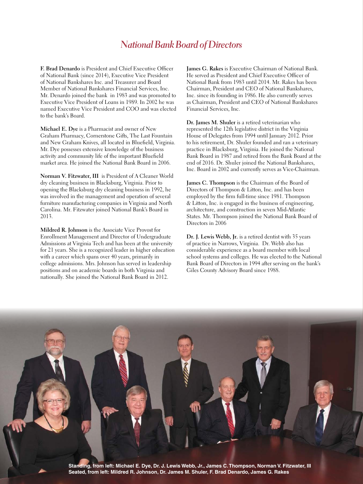## *National Bank Board of Directors*

**F. Brad Denardo** is President and Chief Executive Officer of National Bank (since 2014), Executive Vice President of National Bankshares Inc. and Treasurer and Board Member of National Bankshares Financial Services, Inc. Mr. Denardo joined the bank in 1983 and was promoted to Executive Vice President of Loans in 1989. In 2002 he was named Executive Vice President and COO and was elected to the bank's Board.

**Michael E. Dye** is a Pharmacist and owner of New Graham Pharmacy, Cornerstone Gifts, The Last Fountain and New Graham Knives, all located in Bluefield, Virginia. Mr. Dye possesses extensive knowledge of the business activity and community life of the important Bluefield market area. He joined the National Bank Board in 2006.

**Norman V. Fitzwater, III** is President of A Cleaner World dry cleaning business in Blacksburg, Virginia. Prior to opening the Blacksburg dry cleaning business in 1992, he was involved in the management and operation of several furniture manufacturing companies in Virginia and North Carolina. Mr. Fitzwater joined National Bank's Board in 2013.

**Mildred R. Johnson** is the Associate Vice Provost for Enrollment Management and Director of Undergraduate Admissions at Virginia Tech and has been at the university for 21 years. She is a recognized leader in higher education with a career which spans over 40 years, primarily in college admissions. Mrs. Johnson has served in leadership positions and on academic boards in both Virginia and nationally. She joined the National Bank Board in 2012.

**James G. Rakes** is Executive Chairman of National Bank. He served as President and Chief Executive Officer of National Bank from 1983 until 2014. Mr. Rakes has been Chairman, President and CEO of National Bankshares, Inc. since its founding in 1986. He also currently serves as Chairman, President and CEO of National Bankshares Financial Services, Inc.

**Dr. James M. Shuler** is a retired veterinarian who represented the 12th legislative district in the Virginia House of Delegates from 1994 until January 2012. Prior to his retirement, Dr. Shuler founded and ran a veterinary practice in Blacksburg, Virginia. He joined the National Bank Board in 1987 and retired from the Bank Board at the end of 2016. Dr. Shuler joined the National Bankshares, Inc. Board in 2002 and currently serves as Vice-Chairman.

**James C. Thompson** is the Chairman of the Board of Directors of Thompson & Litton, Inc. and has been employed by the firm full-time since 1981. Thompson & Litton, Inc. is engaged in the business of engineering, architecture, and construction in seven Mid-Atlantic States. Mr. Thompson joined the National Bank Board of Directors in 2006

**Dr. J. Lewis Webb, Jr.** is a retired dentist with 35 years of practice in Narrows, Virginia. Dr. Webb also has considerable experience as a board member with local school systems and colleges. He was elected to the National Bank Board of Directors in 1994 after serving on the bank's Giles County Advisory Board since 1988.

**Standing, from left: Michael E. Dye, Dr. J. Lewis Webb, Jr., James C. Thompson, Norman V. Fitzwater, III Seated, from left: Mildred R. Johnson, Dr. James M. Shuler, F. Brad Denardo, James G. Rakes**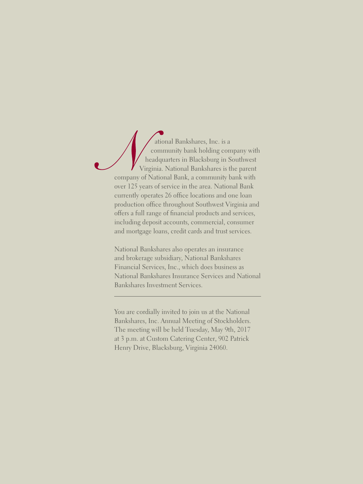ational Bankshares, Inc. is a community bank holding company with headquarters in Blacksburg in Southwest Virginia. National Bankshares is the parent company of National Bank, a community bank with over 125 years of service in the area. National Bank currently operates 26 office locations and one loan production office throughout Southwest Virginia and offers a full range of financial products and services, including deposit accounts, commercial, consumer and mortgage loans, credit cards and trust services.

National Bankshares also operates an insurance and brokerage subsidiary, National Bankshares Financial Services, Inc., which does business as National Bankshares Insurance Services and National Bankshares Investment Services.

You are cordially invited to join us at the National Bankshares, Inc. Annual Meeting of Stockholders. The meeting will be held Tuesday, May 9th, 2017 at 3 p.m. at Custom Catering Center, 902 Patrick Henry Drive, Blacksburg, Virginia 24060.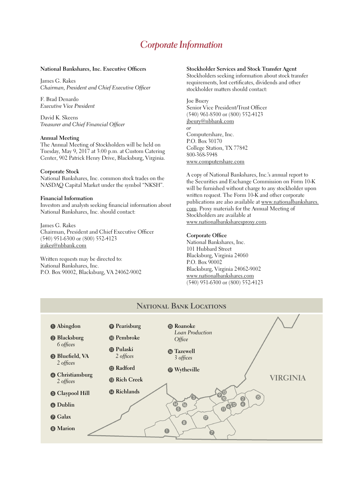## *Corporate Information*

#### **National Bankshares, Inc. Executive Officers**

James G. Rakes *Chairman, President and Chief Executive Officer*

F. Brad Denardo *Executive Vice President*

David K. Skeens *Treasurer and Chief Financial Officer*

#### **Annual Meeting**

The Annual Meeting of Stockholders will be held on Tuesday, May 9, 2017 at 3:00 p.m. at Custom Catering Center, 902 Patrick Henry Drive, Blacksburg, Virginia.

#### **Corporate Stock**

National Bankshares, Inc. common stock trades on the NASDAQ Capital Market under the symbol "NKSH".

#### **Financial Information**

Investors and analysts seeking financial information about National Bankshares, Inc. should contact:

James G. Rakes Chairman, President and Chief Executive Officer (540) 951-6300 or (800) 552-4123 jrakes@nbbank.com

Written requests may be directed to: National Bankshares, Inc. P.O. Box 90002, Blacksburg, VA 24062-9002

#### **Stockholder Services and Stock Transfer Agent**

Stockholders seeking information about stock transfer requirements, lost certificates, dividends and other stockholder matters should contact:

### Joe Buery

Senior Vice President/Trust Officer (540) 961-8500 or (800) 552-4123 jbeury@nbbank.com *or* Computershare, Inc. P.O. Box 30170 College Station, TX 77842 800-368-5948 www.computershare.com

A copy of National Bankshares, Inc.'s annual report to the Securities and Exchange Commission on Form 10-K will be furnished without charge to any stockholder upon written request. The Form 10-K and other corporate publications are also available at www.nationalbankshares. com. Proxy materials for the Annual Meeting of Stockholders are available at www.nationalbanksharesproxy.com.

#### **Corporate Office**

National Bankshares, Inc. 101 Hubbard Street Blacksburg, Virginia 24060 P.O. Box 90002 Blacksburg, Virginia 24062-9002 www.nationalbankshares.com (540) 951-6300 or (800) 552-4123